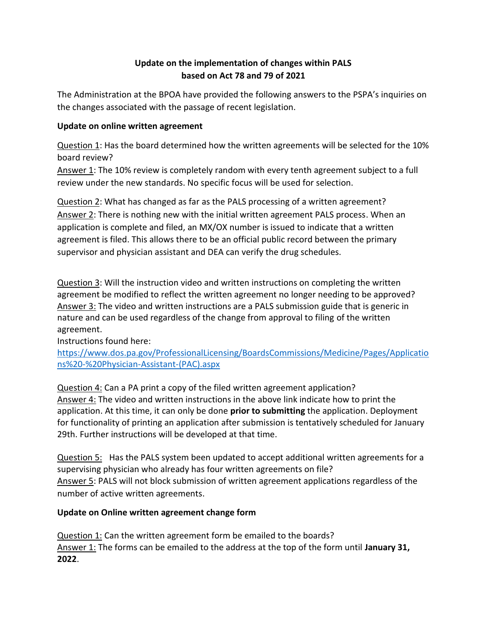## **Update on the implementation of changes within PALS based on Act 78 and 79 of 2021**

The Administration at the BPOA have provided the following answers to the PSPA's inquiries on the changes associated with the passage of recent legislation.

### **Update on online written agreement**

Question 1: Has the board determined how the written agreements will be selected for the 10% board review?

Answer 1: The 10% review is completely random with every tenth agreement subject to a full review under the new standards. No specific focus will be used for selection.

Question 2: What has changed as far as the PALS processing of a written agreement? Answer 2: There is nothing new with the initial written agreement PALS process. When an application is complete and filed, an MX/OX number is issued to indicate that a written agreement is filed. This allows there to be an official public record between the primary supervisor and physician assistant and DEA can verify the drug schedules.

Question 3: Will the instruction video and written instructions on completing the written agreement be modified to reflect the written agreement no longer needing to be approved? Answer 3: The video and written instructions are a PALS submission guide that is generic in nature and can be used regardless of the change from approval to filing of the written agreement.

Instructions found here:

[https://www.dos.pa.gov/ProfessionalLicensing/BoardsCommissions/Medicine/Pages/Applicatio](https://www.dos.pa.gov/ProfessionalLicensing/BoardsCommissions/Medicine/Pages/Applications%20-%20Physician-Assistant-(PAC).aspx) [ns%20-%20Physician-Assistant-\(PAC\).aspx](https://www.dos.pa.gov/ProfessionalLicensing/BoardsCommissions/Medicine/Pages/Applications%20-%20Physician-Assistant-(PAC).aspx)

Question 4: Can a PA print a copy of the filed written agreement application? Answer 4: The video and written instructions in the above link indicate how to print the application. At this time, it can only be done **prior to submitting** the application. Deployment for functionality of printing an application after submission is tentatively scheduled for January 29th. Further instructions will be developed at that time.

Question 5: Has the PALS system been updated to accept additional written agreements for a supervising physician who already has four written agreements on file? Answer 5: PALS will not block submission of written agreement applications regardless of the number of active written agreements.

# **Update on Online written agreement change form**

Question 1: Can the written agreement form be emailed to the boards? Answer 1: The forms can be emailed to the address at the top of the form until **January 31, 2022**.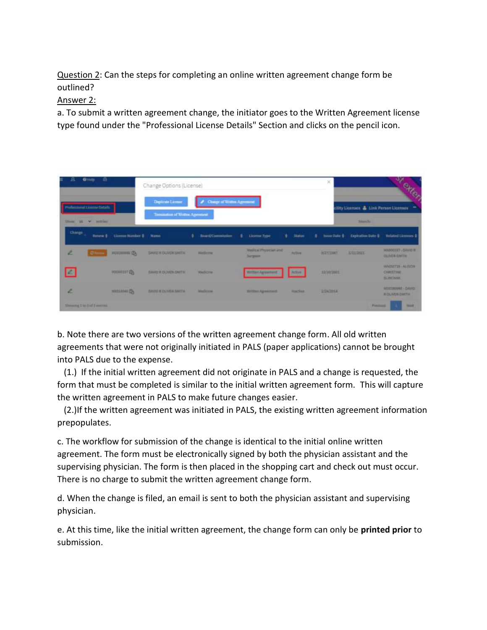Question 2: Can the steps for completing an online written agreement change form be outlined?

### Answer 2:

a. To submit a written agreement change, the initiator goes to the Written Agreement license type found under the "Professional License Details" Section and clicks on the pencil icon.



b. Note there are two versions of the written agreement change form. All old written agreements that were not originally initiated in PALS (paper applications) cannot be brought into PALS due to the expense.

 (1.) If the initial written agreement did not originate in PALS and a change is requested, the form that must be completed is similar to the initial written agreement form. This will capture the written agreement in PALS to make future changes easier.

 (2.)If the written agreement was initiated in PALS, the existing written agreement information prepopulates.

c. The workflow for submission of the change is identical to the initial online written agreement. The form must be electronically signed by both the physician assistant and the supervising physician. The form is then placed in the shopping cart and check out must occur. There is no charge to submit the written agreement change form.

d. When the change is filed, an email is sent to both the physician assistant and supervising physician.

e. At this time, like the initial written agreement, the change form can only be **printed prior** to submission.